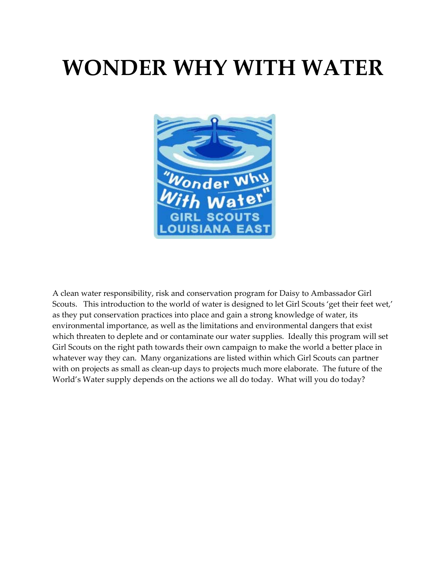# **WONDER WHY WITH WATER**



A clean water responsibility, risk and conservation program for Daisy to Ambassador Girl Scouts. This introduction to the world of water is designed to let Girl Scouts 'get their feet wet,' as they put conservation practices into place and gain a strong knowledge of water, its environmental importance, as well as the limitations and environmental dangers that exist which threaten to deplete and or contaminate our water supplies. Ideally this program will set Girl Scouts on the right path towards their own campaign to make the world a better place in whatever way they can. Many organizations are listed within which Girl Scouts can partner with on projects as small as clean-up days to projects much more elaborate. The future of the World's Water supply depends on the actions we all do today. What will you do today?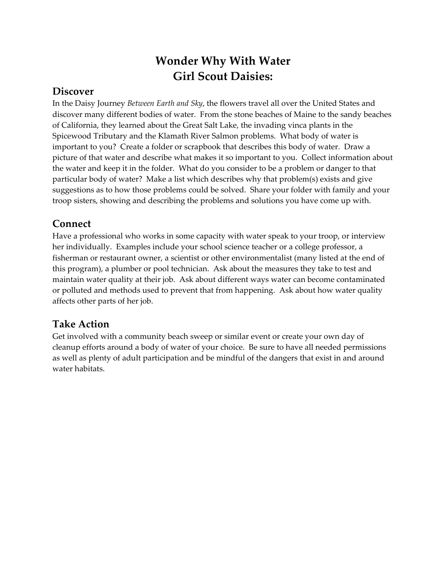# **Wonder Why With Water Girl Scout Daisies:**

#### **Discover**

In the Daisy Journey *Between Earth and Sky*, the flowers travel all over the United States and discover many different bodies of water. From the stone beaches of Maine to the sandy beaches of California, they learned about the Great Salt Lake, the invading vinca plants in the Spicewood Tributary and the Klamath River Salmon problems. What body of water is important to you? Create a folder or scrapbook that describes this body of water. Draw a picture of that water and describe what makes it so important to you. Collect information about the water and keep it in the folder. What do you consider to be a problem or danger to that particular body of water? Make a list which describes why that problem(s) exists and give suggestions as to how those problems could be solved. Share your folder with family and your troop sisters, showing and describing the problems and solutions you have come up with.

### **Connect**

Have a professional who works in some capacity with water speak to your troop, or interview her individually. Examples include your school science teacher or a college professor, a fisherman or restaurant owner, a scientist or other environmentalist (many listed at the end of this program), a plumber or pool technician. Ask about the measures they take to test and maintain water quality at their job. Ask about different ways water can become contaminated or polluted and methods used to prevent that from happening. Ask about how water quality affects other parts of her job.

# **Take Action**

Get involved with a community beach sweep or similar event or create your own day of cleanup efforts around a body of water of your choice. Be sure to have all needed permissions as well as plenty of adult participation and be mindful of the dangers that exist in and around water habitats.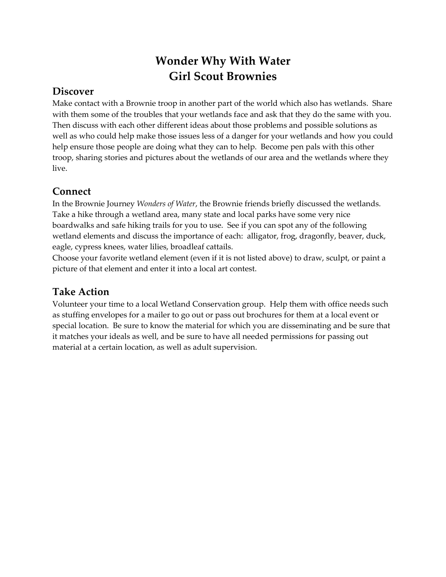# **Wonder Why With Water Girl Scout Brownies**

### **Discover**

Make contact with a Brownie troop in another part of the world which also has wetlands. Share with them some of the troubles that your wetlands face and ask that they do the same with you. Then discuss with each other different ideas about those problems and possible solutions as well as who could help make those issues less of a danger for your wetlands and how you could help ensure those people are doing what they can to help. Become pen pals with this other troop, sharing stories and pictures about the wetlands of our area and the wetlands where they live.

#### **Connect**

In the Brownie Journey *Wonders of Water*, the Brownie friends briefly discussed the wetlands. Take a hike through a wetland area, many state and local parks have some very nice boardwalks and safe hiking trails for you to use. See if you can spot any of the following wetland elements and discuss the importance of each: alligator, frog, dragonfly, beaver, duck, eagle, cypress knees, water lilies, broadleaf cattails.

Choose your favorite wetland element (even if it is not listed above) to draw, sculpt, or paint a picture of that element and enter it into a local art contest.

# **Take Action**

Volunteer your time to a local Wetland Conservation group. Help them with office needs such as stuffing envelopes for a mailer to go out or pass out brochures for them at a local event or special location. Be sure to know the material for which you are disseminating and be sure that it matches your ideals as well, and be sure to have all needed permissions for passing out material at a certain location, as well as adult supervision.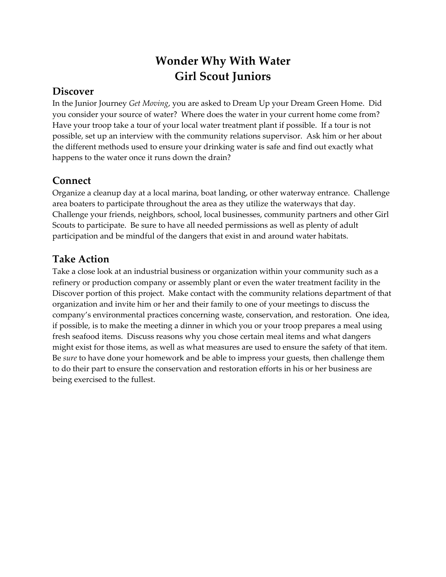# **Wonder Why With Water Girl Scout Juniors**

### **Discover**

In the Junior Journey *Get Moving*, you are asked to Dream Up your Dream Green Home. Did you consider your source of water? Where does the water in your current home come from? Have your troop take a tour of your local water treatment plant if possible. If a tour is not possible, set up an interview with the community relations supervisor. Ask him or her about the different methods used to ensure your drinking water is safe and find out exactly what happens to the water once it runs down the drain?

### **Connect**

Organize a cleanup day at a local marina, boat landing, or other waterway entrance. Challenge area boaters to participate throughout the area as they utilize the waterways that day. Challenge your friends, neighbors, school, local businesses, community partners and other Girl Scouts to participate. Be sure to have all needed permissions as well as plenty of adult participation and be mindful of the dangers that exist in and around water habitats.

### **Take Action**

Take a close look at an industrial business or organization within your community such as a refinery or production company or assembly plant or even the water treatment facility in the Discover portion of this project. Make contact with the community relations department of that organization and invite him or her and their family to one of your meetings to discuss the company's environmental practices concerning waste, conservation, and restoration. One idea, if possible, is to make the meeting a dinner in which you or your troop prepares a meal using fresh seafood items. Discuss reasons why you chose certain meal items and what dangers might exist for those items, as well as what measures are used to ensure the safety of that item. Be *sure* to have done your homework and be able to impress your guests, then challenge them to do their part to ensure the conservation and restoration efforts in his or her business are being exercised to the fullest.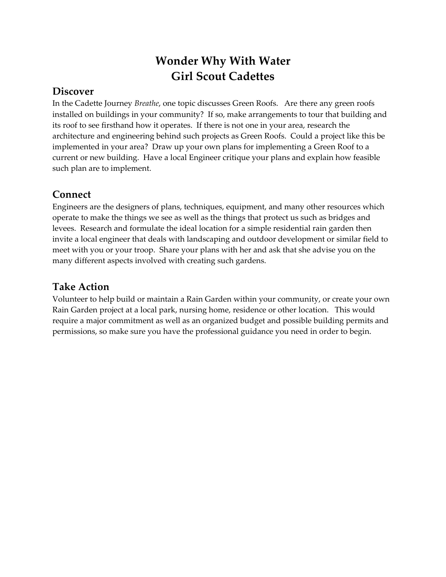# **Wonder Why With Water Girl Scout Cadettes**

#### **Discover**

In the Cadette Journey *Breathe*, one topic discusses Green Roofs. Are there any green roofs installed on buildings in your community? If so, make arrangements to tour that building and its roof to see firsthand how it operates. If there is not one in your area, research the architecture and engineering behind such projects as Green Roofs. Could a project like this be implemented in your area? Draw up your own plans for implementing a Green Roof to a current or new building. Have a local Engineer critique your plans and explain how feasible such plan are to implement.

#### **Connect**

Engineers are the designers of plans, techniques, equipment, and many other resources which operate to make the things we see as well as the things that protect us such as bridges and levees. Research and formulate the ideal location for a simple residential rain garden then invite a local engineer that deals with landscaping and outdoor development or similar field to meet with you or your troop. Share your plans with her and ask that she advise you on the many different aspects involved with creating such gardens.

#### **Take Action**

Volunteer to help build or maintain a Rain Garden within your community, or create your own Rain Garden project at a local park, nursing home, residence or other location. This would require a major commitment as well as an organized budget and possible building permits and permissions, so make sure you have the professional guidance you need in order to begin.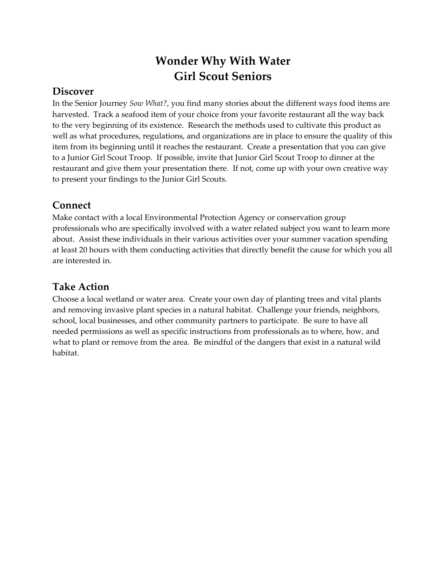# **Wonder Why With Water Girl Scout Seniors**

#### **Discover**

In the Senior Journey *Sow What?*, you find many stories about the different ways food items are harvested. Track a seafood item of your choice from your favorite restaurant all the way back to the very beginning of its existence. Research the methods used to cultivate this product as well as what procedures, regulations, and organizations are in place to ensure the quality of this item from its beginning until it reaches the restaurant. Create a presentation that you can give to a Junior Girl Scout Troop. If possible, invite that Junior Girl Scout Troop to dinner at the restaurant and give them your presentation there. If not, come up with your own creative way to present your findings to the Junior Girl Scouts.

#### **Connect**

Make contact with a local Environmental Protection Agency or conservation group professionals who are specifically involved with a water related subject you want to learn more about. Assist these individuals in their various activities over your summer vacation spending at least 20 hours with them conducting activities that directly benefit the cause for which you all are interested in.

### **Take Action**

Choose a local wetland or water area. Create your own day of planting trees and vital plants and removing invasive plant species in a natural habitat. Challenge your friends, neighbors, school, local businesses, and other community partners to participate. Be sure to have all needed permissions as well as specific instructions from professionals as to where, how, and what to plant or remove from the area. Be mindful of the dangers that exist in a natural wild habitat.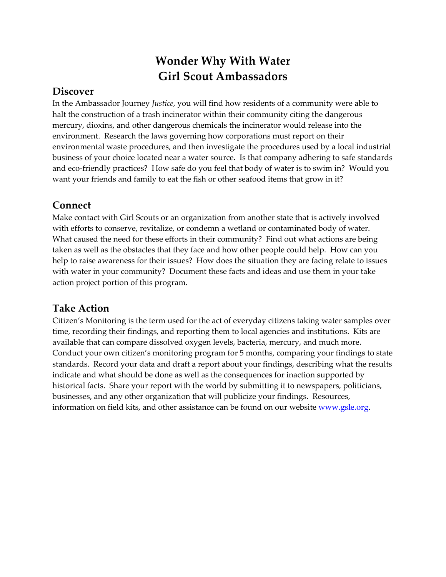# **Wonder Why With Water Girl Scout Ambassadors**

### **Discover**

In the Ambassador Journey *Justice*, you will find how residents of a community were able to halt the construction of a trash incinerator within their community citing the dangerous mercury, dioxins, and other dangerous chemicals the incinerator would release into the environment. Research the laws governing how corporations must report on their environmental waste procedures, and then investigate the procedures used by a local industrial business of your choice located near a water source. Is that company adhering to safe standards and eco-friendly practices? How safe do you feel that body of water is to swim in? Would you want your friends and family to eat the fish or other seafood items that grow in it?

#### **Connect**

Make contact with Girl Scouts or an organization from another state that is actively involved with efforts to conserve, revitalize, or condemn a wetland or contaminated body of water. What caused the need for these efforts in their community? Find out what actions are being taken as well as the obstacles that they face and how other people could help. How can you help to raise awareness for their issues? How does the situation they are facing relate to issues with water in your community? Document these facts and ideas and use them in your take action project portion of this program.

### **Take Action**

Citizen's Monitoring is the term used for the act of everyday citizens taking water samples over time, recording their findings, and reporting them to local agencies and institutions. Kits are available that can compare dissolved oxygen levels, bacteria, mercury, and much more. Conduct your own citizen's monitoring program for 5 months, comparing your findings to state standards. Record your data and draft a report about your findings, describing what the results indicate and what should be done as well as the consequences for inaction supported by historical facts. Share your report with the world by submitting it to newspapers, politicians, businesses, and any other organization that will publicize your findings. Resources, information on field kits, and other assistance can be found on our website www.gsle.org.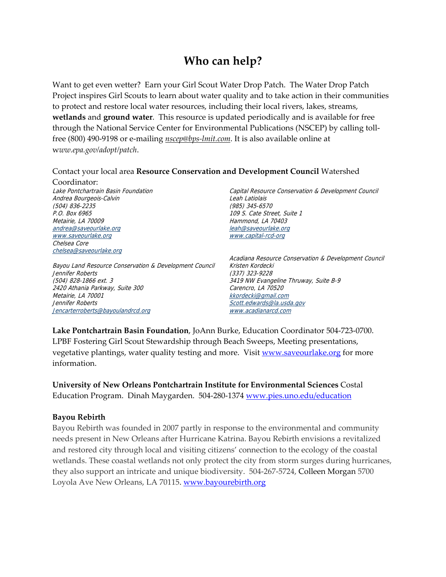# **Who can help?**

Want to get even wetter? Earn your Girl Scout Water Drop Patch. The Water Drop Patch Project inspires Girl Scouts to learn about water quality and to take action in their communities to protect and restore local water resources, including their local rivers, lakes, streams, **wetlands** and **ground water**. This resource is updated periodically and is available for free through the National Service Center for Environmental Publications (NSCEP) by calling toll‐ free (800) 490‐9198 or e‐mailing *nscep@bps‐lmit.com*. It is also available online at w*ww.epa.gov/adopt/patch*.

#### Contact your local area **Resource Conservation and Development Council** Watershed

Coordinator: Lake Pontchartrain Basin Foundation Andrea Bourgeois-Calvin (504) 836-2235 P.O. Box 6965 Metairie, LA 70009 andrea@saveourlake.org www.saveourlake.org Chelsea Core chelsea@saveourlake.org

Bayou Land Resource Conservation & Development Council Jennifer Roberts (504) 828-1866 ext. 3 2420 Athania Parkway, Suite 300 Metairie, LA 70001 Jennifer Roberts Jencarterroberts@bayoulandrcd.org

Capital Resource Conservation & Development Council Leah Latiolais (985) 345-6570 109 S. Cate Street, Suite 1 Hammond, LA 70403 leah@saveourlake.org www.capital-rcd-org

Acadiana Resource Conservation & Development Council Kristen Kordecki (337) 323-9228 3419 NW Evangeline Thruway, Suite B-9 Carencro, LA 70520 kkordecki@gmail.com Scott.edwards@la.usda.gov www.acadianarcd.com

**Lake Pontchartrain Basin Foundation**, JoAnn Burke, Education Coordinator 504‐723‐0700. LPBF Fostering Girl Scout Stewardship through Beach Sweeps, Meeting presentations, vegetative plantings, water quality testing and more. Visit www.saveourlake.org for more information.

**University of New Orleans Pontchartrain Institute for Environmental Sciences** Costal Education Program. Dinah Maygarden. 504‐280‐1374 www.pies.uno.edu/education

#### **Bayou Rebirth**

Bayou Rebirth was founded in 2007 partly in response to the environmental and community needs present in New Orleans after Hurricane Katrina. Bayou Rebirth envisions a revitalized and restored city through local and visiting citizens' connection to the ecology of the coastal wetlands. These coastal wetlands not only protect the city from storm surges during hurricanes, they also support an intricate and unique biodiversity. 504‐267‐5724, Colleen Morgan 5700 Loyola Ave New Orleans, LA 70115. www.bayourebirth.org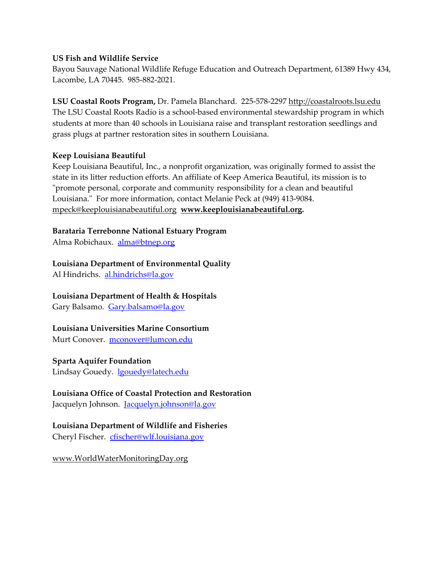#### **US Fish and Wildlife Service**

Bayou Sauvage National Wildlife Refuge Education and Outreach Department, 61389 Hwy 434, Lacombe, LA 70445. 985‐882‐2021.

**LSU Coastal Roots Program,** Dr. Pamela Blanchard. 225‐578‐2297 http://coastalroots.lsu.edu The LSU Coastal Roots Radio is a school-based environmental stewardship program in which students at more than 40 schools in Louisiana raise and transplant restoration seedlings and grass plugs at partner restoration sites in southern Louisiana.

#### **Keep Louisiana Beautiful**

Keep Louisiana Beautiful, Inc., a nonprofit organization, was originally formed to assist the state in its litter reduction efforts. An affiliate of Keep America Beautiful, its mission is to ʺpromote personal, corporate and community responsibility for a clean and beautiful Louisiana.ʺ For more information, contact Melanie Peck at (949) 413‐9084. mpeck@keeplouisianabeautiful.org **www.keeplouisianabeautiful.org.**

**Barataria Terrebonne National Estuary Program**

Alma Robichaux. alma@btnep.org

#### **Louisiana Department of Environmental Quality**

Al Hindrichs. al.hindrichs@la.gov

#### **Louisiana Department of Health & Hospitals**

Gary Balsamo. Gary.balsamo@la.gov

#### **Louisiana Universities Marine Consortium**

Murt Conover. mconover@lumcon.edu

#### **Sparta Aquifer Foundation**

Lindsay Gouedy. lgouedy@latech.edu

#### **Louisiana Office of Coastal Protection and Restoration**

Jacquelyn Johnson. Jacquelyn.johnson@la.gov

#### **Louisiana Department of Wildlife and Fisheries**

Cheryl Fischer. cfischer@wlf.louisiana.gov

www.WorldWaterMonitoringDay.org